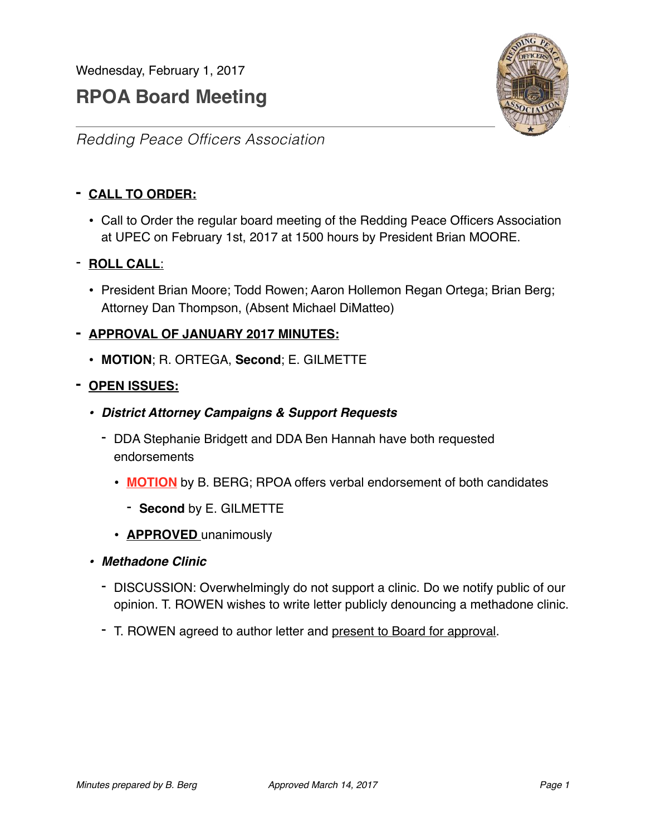# **RPOA Board Meeting**



*Redding Peace Officers Association*

# **- CALL TO ORDER:**

• Call to Order the regular board meeting of the Redding Peace Officers Association at UPEC on February 1st, 2017 at 1500 hours by President Brian MOORE.

# - **ROLL CALL**:

• President Brian Moore; Todd Rowen; Aaron Hollemon Regan Ortega; Brian Berg; Attorney Dan Thompson, (Absent Michael DiMatteo)

# **- APPROVAL OF JANUARY 2017 MINUTES:**

• **MOTION**; R. ORTEGA, **Second**; E. GILMETTE

# **- OPEN ISSUES:**

- *• District Attorney Campaigns & Support Requests*
	- DDA Stephanie Bridgett and DDA Ben Hannah have both requested endorsements
		- **MOTION** by B. BERG; RPOA offers verbal endorsement of both candidates
			- **Second** by E. GILMETTE
		- **APPROVED** unanimously
- *• Methadone Clinic*
	- DISCUSSION: Overwhelmingly do not support a clinic. Do we notify public of our opinion. T. ROWEN wishes to write letter publicly denouncing a methadone clinic.
	- T. ROWEN agreed to author letter and present to Board for approval.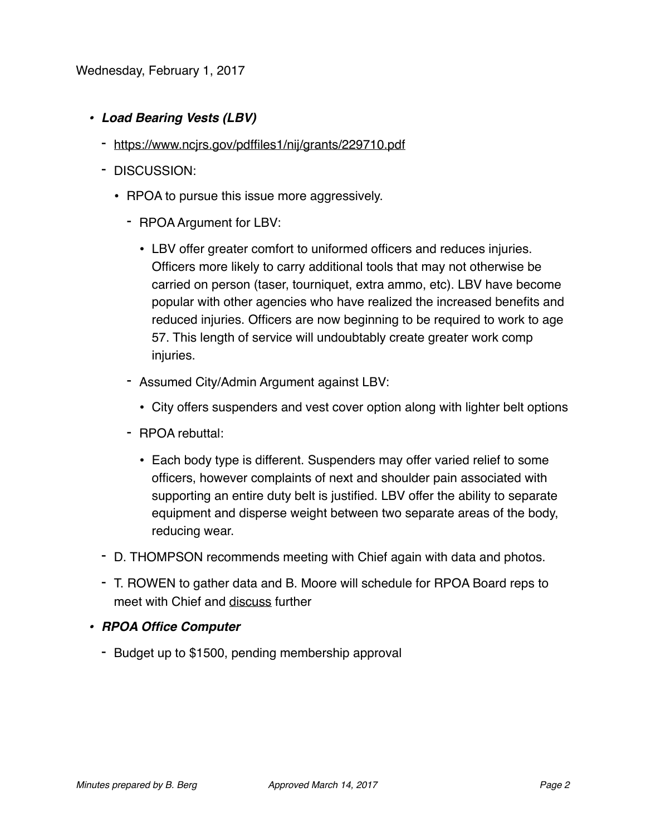- *• Load Bearing Vests (LBV)*
	- <https://www.ncjrs.gov/pdffiles1/nij/grants/229710.pdf>
	- DISCUSSION:
		- RPOA to pursue this issue more aggressively.
			- RPOA Argument for LBV:
				- LBV offer greater comfort to uniformed officers and reduces injuries. Officers more likely to carry additional tools that may not otherwise be carried on person (taser, tourniquet, extra ammo, etc). LBV have become popular with other agencies who have realized the increased benefits and reduced injuries. Officers are now beginning to be required to work to age 57. This length of service will undoubtably create greater work comp injuries.
			- Assumed City/Admin Argument against LBV:
				- City offers suspenders and vest cover option along with lighter belt options
			- RPOA rebuttal:
				- Each body type is different. Suspenders may offer varied relief to some officers, however complaints of next and shoulder pain associated with supporting an entire duty belt is justified. LBV offer the ability to separate equipment and disperse weight between two separate areas of the body, reducing wear.
	- D. THOMPSON recommends meeting with Chief again with data and photos.
	- T. ROWEN to gather data and B. Moore will schedule for RPOA Board reps to meet with Chief and discuss further

#### *• RPOA Office Computer*

- Budget up to \$1500, pending membership approval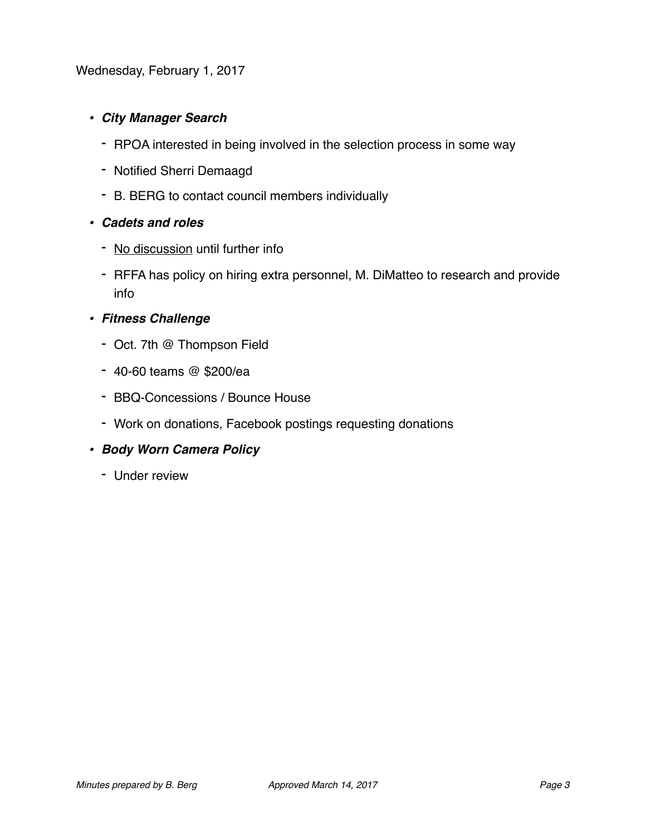# *• City Manager Search*

- RPOA interested in being involved in the selection process in some way
- Notified Sherri Demaagd
- B. BERG to contact council members individually

#### *• Cadets and roles*

- No discussion until further info
- RFFA has policy on hiring extra personnel, M. DiMatteo to research and provide info

#### *• Fitness Challenge*

- Oct. 7th @ Thompson Field
- 40-60 teams @ \$200/ea
- BBQ-Concessions / Bounce House
- Work on donations, Facebook postings requesting donations

#### *• Body Worn Camera Policy*

- Under review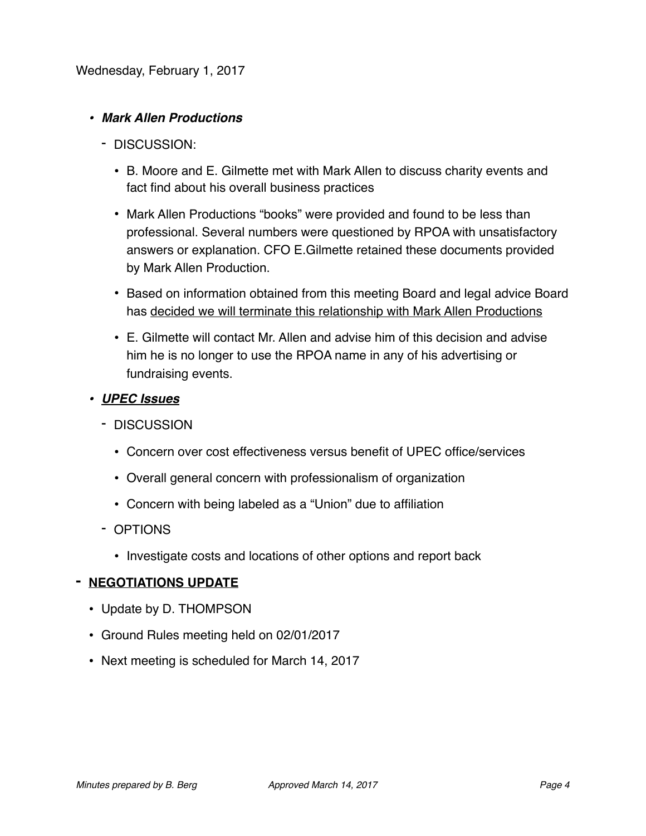# *• Mark Allen Productions*

- DISCUSSION:
	- B. Moore and E. Gilmette met with Mark Allen to discuss charity events and fact find about his overall business practices
	- Mark Allen Productions "books" were provided and found to be less than professional. Several numbers were questioned by RPOA with unsatisfactory answers or explanation. CFO E.Gilmette retained these documents provided by Mark Allen Production.
	- Based on information obtained from this meeting Board and legal advice Board has decided we will terminate this relationship with Mark Allen Productions
	- E. Gilmette will contact Mr. Allen and advise him of this decision and advise him he is no longer to use the RPOA name in any of his advertising or fundraising events.
- *• UPEC Issues*
	- DISCUSSION
		- Concern over cost effectiveness versus benefit of UPEC office/services
		- Overall general concern with professionalism of organization
		- Concern with being labeled as a "Union" due to affiliation
	- OPTIONS
		- Investigate costs and locations of other options and report back

# **- NEGOTIATIONS UPDATE**

- Update by D. THOMPSON
- Ground Rules meeting held on 02/01/2017
- Next meeting is scheduled for March 14, 2017